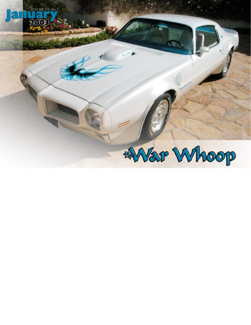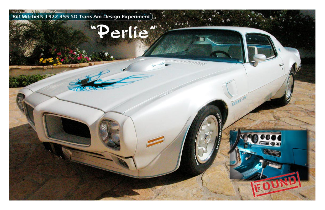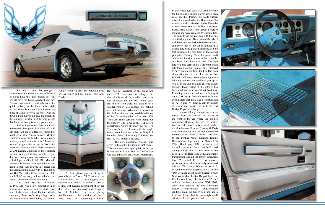

It's only so often that you get a chance to walk through the door of history, let alone have that door opened for you. We all have the backgrounds of our own Pontiacs documented and rehearsed for quick delivery at the local cruise night and car show. But when I stumbled on the piece of GM history you see here, I was led down a path that would give me insight to the innermost workings of the very people that built our hobby from the ground up.

you get when you cross Bill Mitchell, head of GM Design and the Pontiac Trans Am? "Perlie".



Before I get to the "One of a Kind" unrestored, all original, 30K mile 1972 455 SD Trans Am and its gifted life, I must first touch on a little Pontiac history. Most of you know who Bill Mitchell is. In a quick review you will remember that Bill was the head of design at GM as well as GM's Vice President. He was Harley J. Earl's successor as GM Design Chief and is most notable for his dealings with the Corvette. If you dig deep enough you can uncover a very colorful personality in Mr. Bill Mitchell. He was a leader that managed with an iron hand, a man that enjoyed his career and the accolades that came with it. The hobby lost Bill Mitchell with his passing in 1988, but Bill left us many unique vehicles and stories, one of which you read here.

At first glance you might try to pass this car off as a ʻ73 Trans Am, but a closer look and a little digging will confirm that "Perlie" is indeed a one of a kind GM Design department show car that was conceptualized and designed by Bill Mitchell. The most glaring modification is the addition of the Hood Bird" or "Screaming Chicken"

The Trans Am was introduced in 1969 and was a low production high performance vehicle from the start. Now, one of the most valued Pontiac Muscle cars, early Trans Am's bring a high dollar and much respect in our hobby. So what do

In those days real pearl was used to create the finish, and it shows. Never have I seen color like this. Pushing the limits further, this color was added to the Honeycomb TA wheels as well as the dash insert. Even the exhaust extensions got the Pearl treatment. Sadly, these exhaust tips lasted a mere 6 months and were replaced by chrome tips. The paint tricks did not stop with this one of a kind pigment. They painted the wheel well blue, another design studio trademark, and every inch of the car is outlined in a double line hand painted pinstripe of blue that enhances the bold lines of the second generation F-Body. This blue paint detail echoes the interior treatment that is unlike any Trans Am I have ever seen. The high pile rich blue carpeting is a different nylon pile than a normal Pontiac pile (rumored to have been taken from the Cadillac line) along with the electric blue interior that Bill Mitchell really liked reflects light in a blinding manner that swallows you up as you sit in the one of a kind custom leather buckets. Every detail of the interior has been modified in a tasteful yet bold way. Rounding out the experience, a factory 8 track, GM Design floor mat steel grills and door panels that look like a combination of 72-73 and 74 models. All in leather of course and finished off with the GM

It took all my strength to remove myself from the cockpit and move to the front of the car where the goodies continued! Opening the 455 SD shaker hood revealed more rarities, most notably the aluminum 4bbl intake (casting 485640) that channeled air into the highly modified Pontiac Power Plant. "Perlie" was sent to the Pontiac Motor Division Engine Development department on March 17th 1972, (Thank you PHS!), where it got the full treatment. Heads, cam intake and tuning that put this TA way ahead of the pack in 1972! Harnessed with a automatic transmission and all the luxury amenities, this TA spelled FUN!. This monster performance is what ultimately preserved this car. That story follows as we look beyond the car and deeper at how a car like "Perlie" made it out intact. Current owner Neal Wichard of the San Diego Chapter of POCI was able to get his hands on "Perlie" and did the best thing ever. NOTHING, other than remove the non functional factory experimental transistorized ignition, drain the fuel system and add a fresh set of tires. But this seemingly small effort yielded the greatest find.

that was not available on the Trans Am until 1973. Even more revealing is the size of this decal, far smaller than what was produced for the 1973 model year. Bill did not stop there, the addition of a smaller version also appears just behind each side window. What makes this odd is that Bill was the one who axed the addition of the "Screaming Chicken" on the 1970 Trans Am show cars that were being put together by Bill Porter in the GM design department. As we all know the ʻ70 -'72 Trans Am's were released with the single stripe down the center of the car. Why Bill included these "Screaming Chickens" on this ʻ72 will remain a mystery.

The cars nickname, "Perlie" was given to the car by the first non GM owner. This name was quite appropriate as the car is adorned in a rich deep pearl white that was layed thick by the Design Department.



Design Department badge.





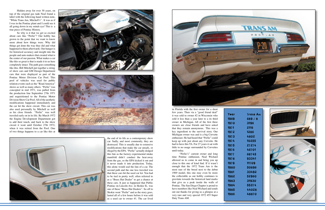Hidden away for over 30 years, on top of the original gas tank Neal found a label with the following hand written note, "White Trans Am, Mitchell's" . It was as if I was in the Pontiac plant and I could see it all going down in my minds eye! This is a true piece of Pontiac History.

So why is it that we get so excited about cars like "Perlie"? Our hobby has grown to the point that we want to know more about how things were. Why did things get done the way they did and what happened to them afterwards. Our hunger is for historical accuracy and insight into the people and auto makers that created what is the center of our passion. What makes a car like this so great is that is made it to us here completely intact. The path goes something like this. Bill Mitchell put together a string of show cars and GM Design Department cars that were displayed as part of the Pontiac Motor Division Car Pool. This pool of vehicles was used for public relation events such as the "Road America" shows as well as many others. "Perlie" was concepted in mid 1971, was pulled from the production line September 27th 1971 and requisitioned to the Pontiac Motor Division Show Car Pool. All of the aesthetic modifications happened immediately and the car hit the show circuit. This car was also used personally by Mitchell as well as his close friends. "Perlie" was well traveled early on in its life. By March 1972 the Engine Development Department got to add their touch, and back to the show circuit it went until October 27th 1972, when it was retired from the Pool. One of two things happens to a car like this at







in Florida with the first owner for a short few years. Then via a "good friend deal" it was sold to owner #2 in Wisconsin who sold it less than a year later to a its third owner in Michigan. All of the first three owners are close friends and have asked that they remain anonymous. This was a key ingredient to the survival story. Our Michigan owner was and is a big Corvette enthusiast. He had heard that "Perlie" could keep up with just about any Corvette. He had to have this TA. For 27 years it sat with little to no usage surrounded by Corvettes until today.

"Perlie's" current owner and long time Pontiac enthusiast, Neal Wichard allowed us to come in and bring you up close to this one of kind find. If it wasn't enough that the 1972 Trans Am is the most rare of the breed next to the debut 1969 model, this one may even be more the collectable as our hobby continues to gravitate towards the historical land marks that give us a peak inside the walls of Pontiac. The San Diego Chapter is proud to have members like Neal Wichard and sends out our thanks for giving us a glimpse at a very rare and very special 1972 455 Super Duty Trans AM.

the end of its life as a contemporary show car. Sadly, and most commonly, they are destroyed. This is usually due to extensive modifications that make the car unsafe, or illegal by the EPA. "Perlie" actually dodged this fate as the factory experimental intake manifold didn't conduct the heat away from the gas, so the EPA kicked it out and it never made it into production. Today, this alone would seal the fate of a car. The second path and the one less traveled was that these cars hit the used car lot. You had to be tied in pretty well, often referred to as a "Brass Hat Dealer" to get a chance at these cars. It just so happened that Public Pontiac on Lincoln Ave. in Skokie IL. was one of these "Brass Hat Dealers". So off to Skokie went "Perlie" and as the story goes, lasted all of a few hours before it was sold as a used car to owner #1. The car lived